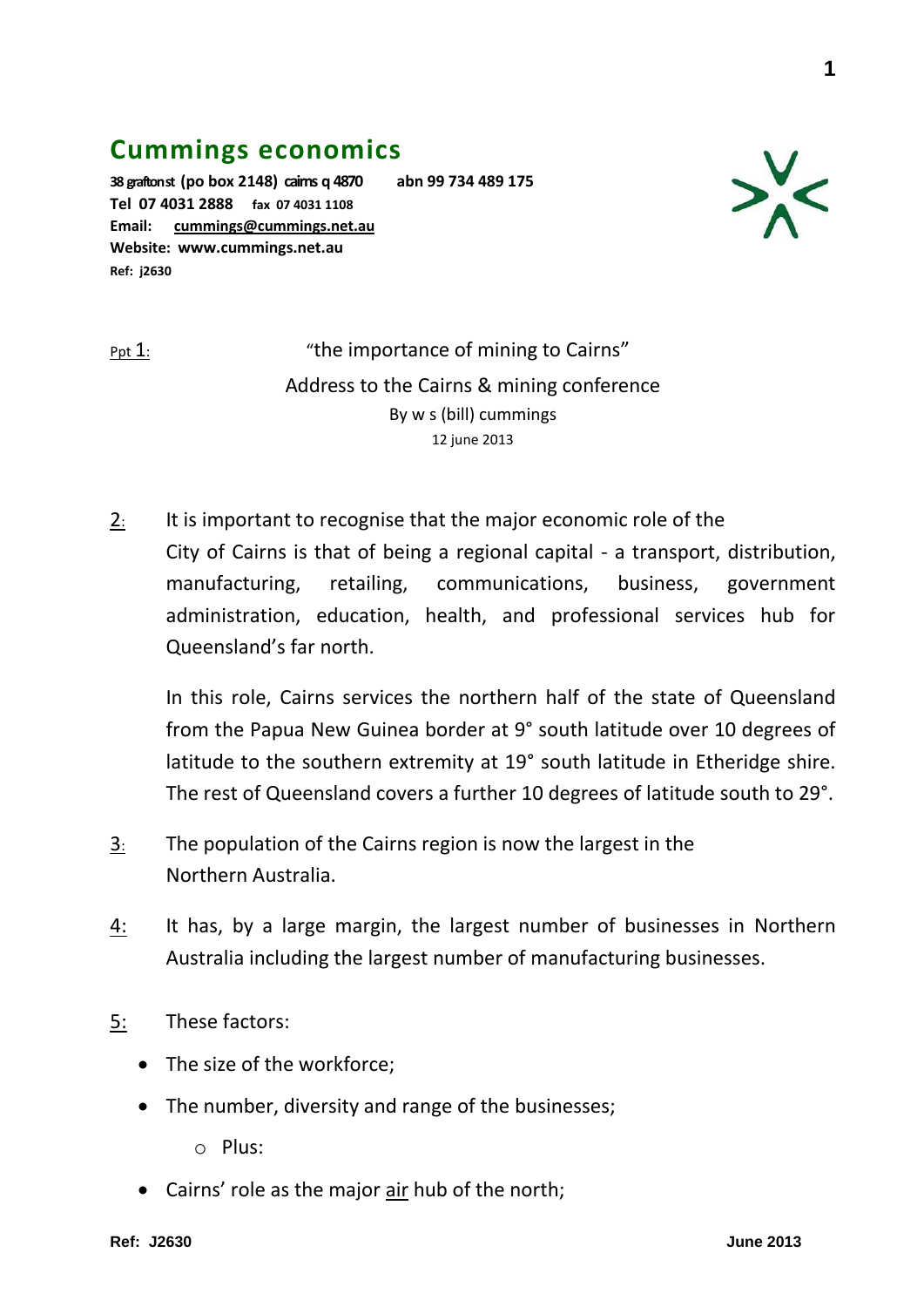## **Cummings economics**

**38 grafton st (po box 2148) cairns q 4870 abn 99 734 489 175 Tel 07 4031 2888 fax 07 4031 1108 Email: [cummings@cummings.net.au](mailto:cummings@cummings.net.au) Website: www.cummings.net.au Ref: j2630**



Ppt 1: "the importance of mining to Cairns" Address to the Cairns & mining conference By w s (bill) cummings 12 june 2013

2: It is important to recognise that the major economic role of the City of Cairns is that of being a regional capital - a transport, distribution, manufacturing, retailing, communications, business, government administration, education, health, and professional services hub for Queensland's far north.

In this role, Cairns services the northern half of the state of Queensland from the Papua New Guinea border at 9° south latitude over 10 degrees of latitude to the southern extremity at 19° south latitude in Etheridge shire. The rest of Queensland covers a further 10 degrees of latitude south to 29°.

- 3: The population of the Cairns region is now the largest in the Northern Australia.
- 4: It has, by a large margin, the largest number of businesses in Northern Australia including the largest number of manufacturing businesses.
- 5: These factors:
	- The size of the workforce:
	- The number, diversity and range of the businesses;
		- o Plus:
	- Cairns' role as the major air hub of the north;

**1**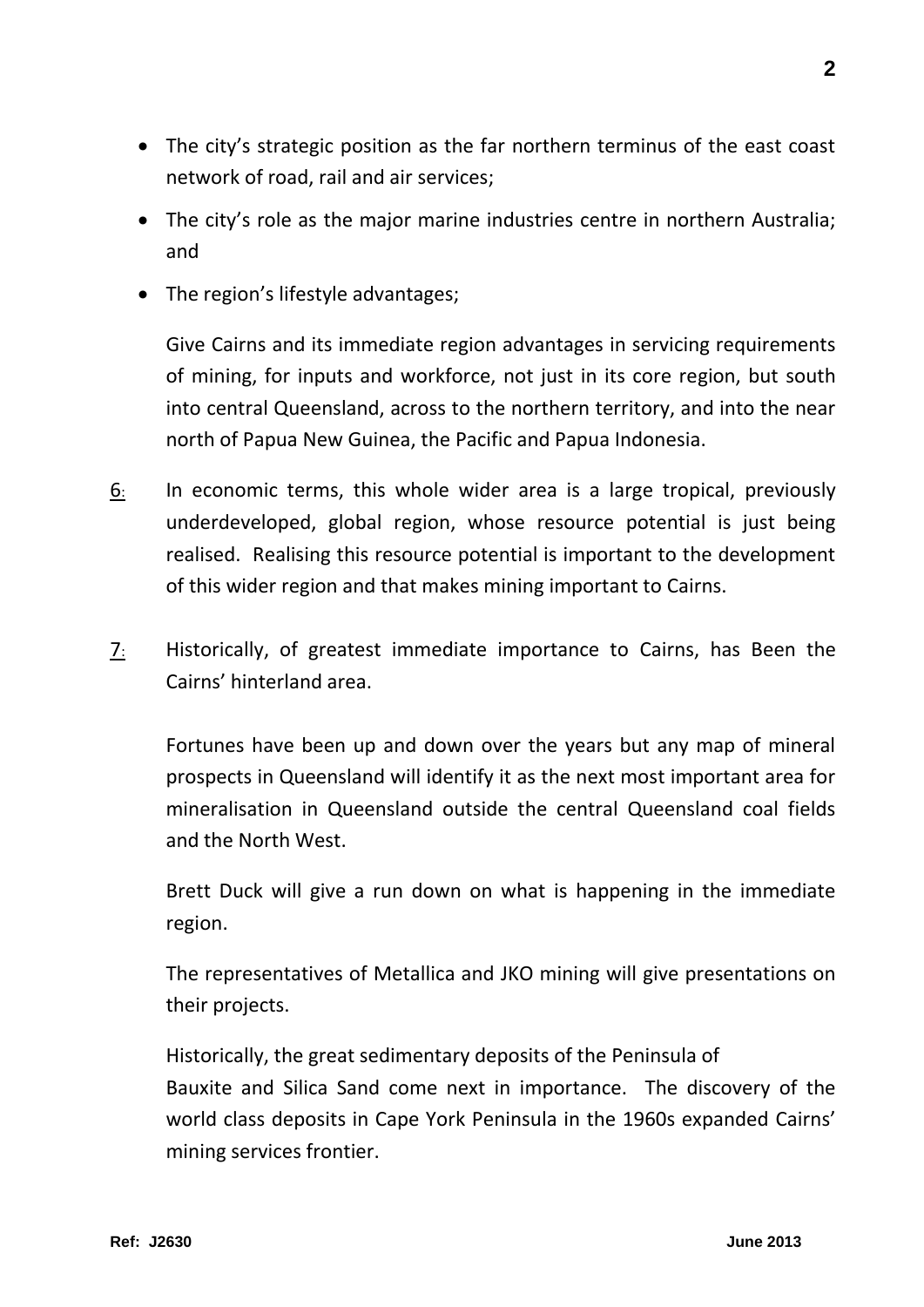- The city's strategic position as the far northern terminus of the east coast network of road, rail and air services;
- The city's role as the major marine industries centre in northern Australia; and
- The region's lifestyle advantages;

Give Cairns and its immediate region advantages in servicing requirements of mining, for inputs and workforce, not just in its core region, but south into central Queensland, across to the northern territory, and into the near north of Papua New Guinea, the Pacific and Papua Indonesia.

- 6: In economic terms, this whole wider area is a large tropical, previously underdeveloped, global region, whose resource potential is just being realised. Realising this resource potential is important to the development of this wider region and that makes mining important to Cairns.
- 7: Historically, of greatest immediate importance to Cairns, has Been the Cairns' hinterland area.

Fortunes have been up and down over the years but any map of mineral prospects in Queensland will identify it as the next most important area for mineralisation in Queensland outside the central Queensland coal fields and the North West.

Brett Duck will give a run down on what is happening in the immediate region.

The representatives of Metallica and JKO mining will give presentations on their projects.

 Historically, the great sedimentary deposits of the Peninsula of Bauxite and Silica Sand come next in importance. The discovery of the world class deposits in Cape York Peninsula in the 1960s expanded Cairns' mining services frontier.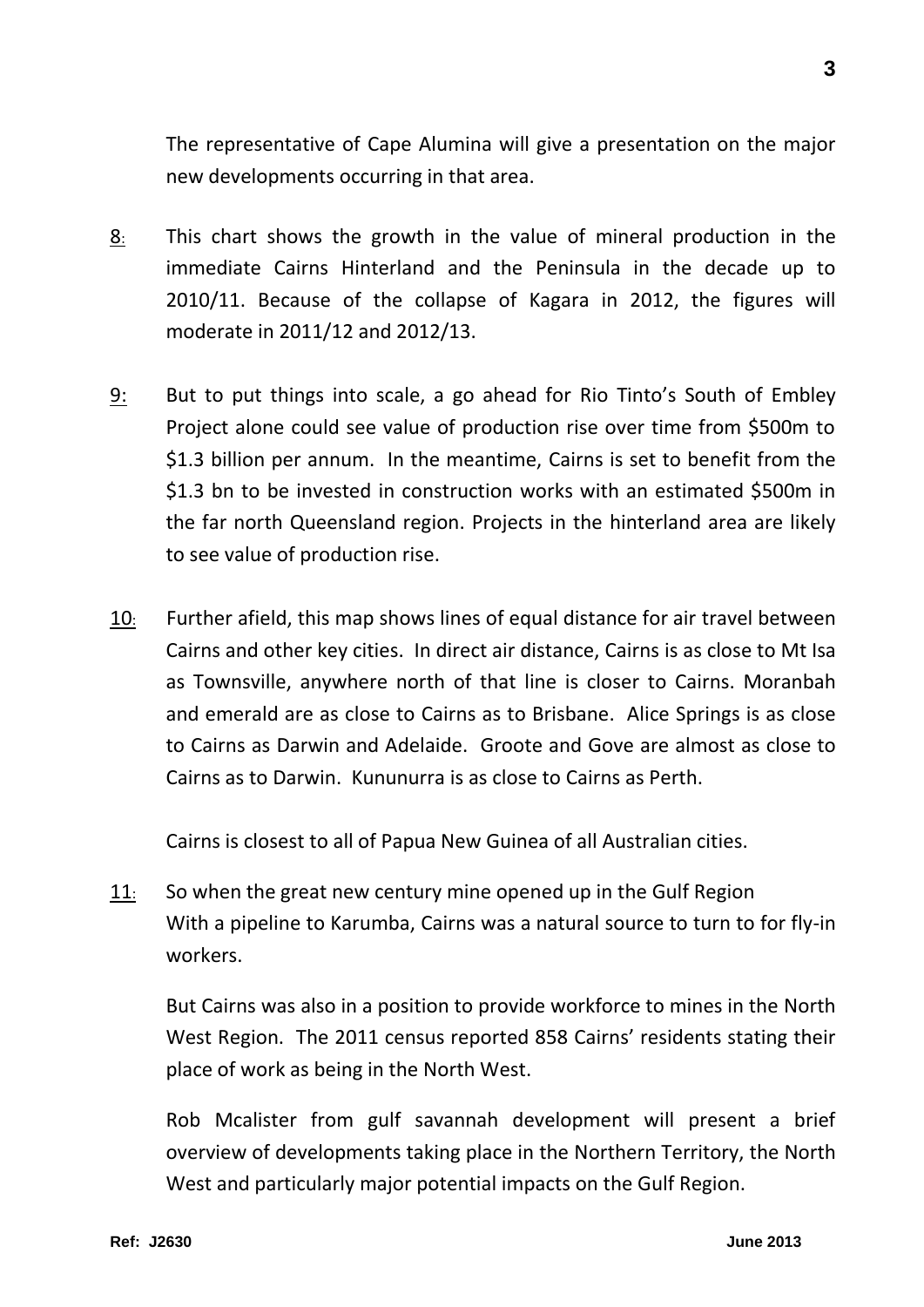The representative of Cape Alumina will give a presentation on the major new developments occurring in that area.

- 8: This chart shows the growth in the value of mineral production in the immediate Cairns Hinterland and the Peninsula in the decade up to 2010/11. Because of the collapse of Kagara in 2012, the figures will moderate in 2011/12 and 2012/13.
- 9: But to put things into scale, a go ahead for Rio Tinto's South of Embley Project alone could see value of production rise over time from \$500m to \$1.3 billion per annum. In the meantime, Cairns is set to benefit from the \$1.3 bn to be invested in construction works with an estimated \$500m in the far north Queensland region. Projects in the hinterland area are likely to see value of production rise.
- 10: Further afield, this map shows lines of equal distance for air travel between Cairns and other key cities. In direct air distance, Cairns is as close to Mt Isa as Townsville, anywhere north of that line is closer to Cairns. Moranbah and emerald are as close to Cairns as to Brisbane. Alice Springs is as close to Cairns as Darwin and Adelaide. Groote and Gove are almost as close to Cairns as to Darwin. Kununurra is as close to Cairns as Perth.

Cairns is closest to all of Papua New Guinea of all Australian cities.

11: So when the great new century mine opened up in the Gulf Region With a pipeline to Karumba, Cairns was a natural source to turn to for fly-in workers.

But Cairns was also in a position to provide workforce to mines in the North West Region. The 2011 census reported 858 Cairns' residents stating their place of work as being in the North West.

Rob Mcalister from gulf savannah development will present a brief overview of developments taking place in the Northern Territory, the North West and particularly major potential impacts on the Gulf Region.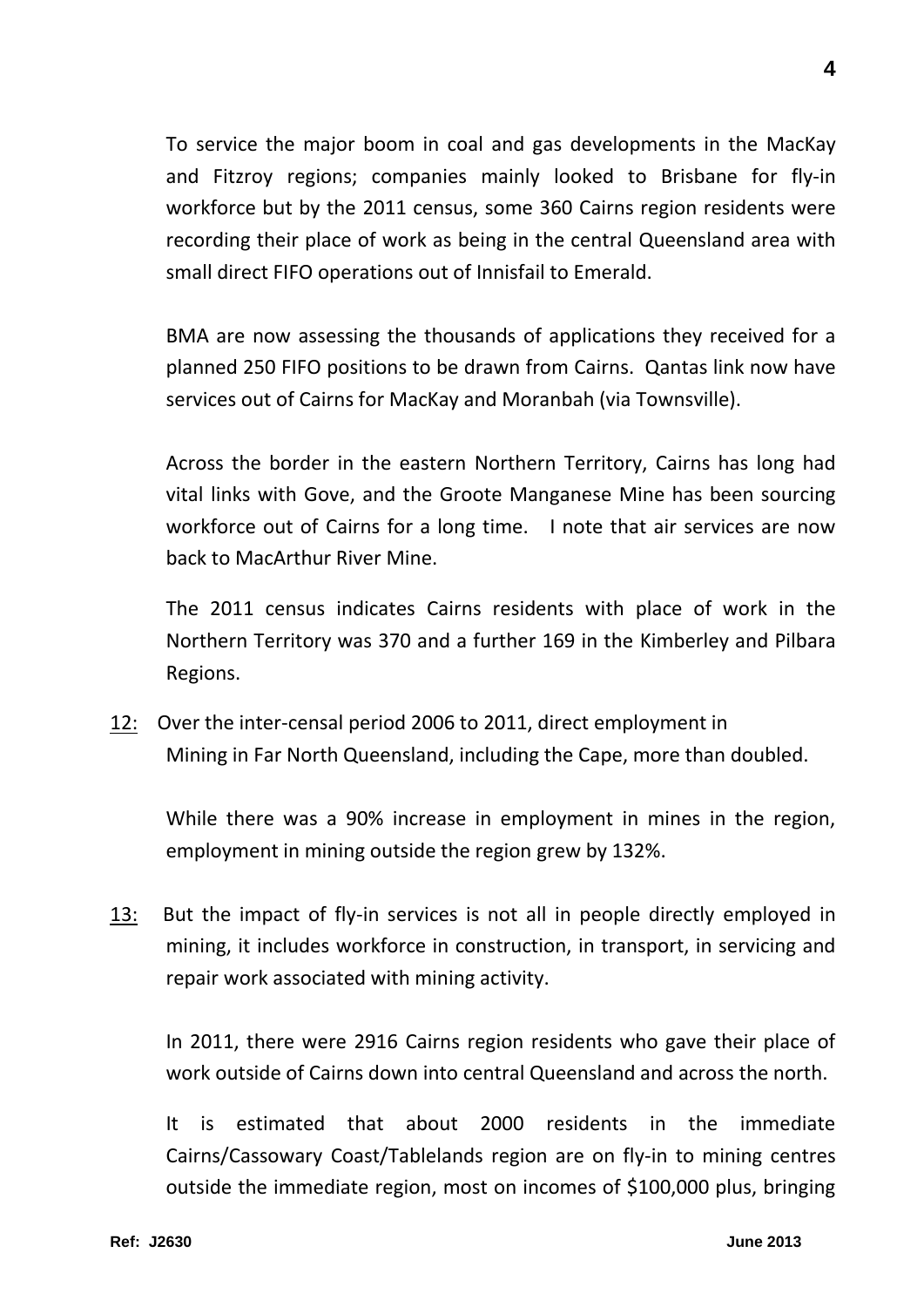To service the major boom in coal and gas developments in the MacKay and Fitzroy regions; companies mainly looked to Brisbane for fly-in workforce but by the 2011 census, some 360 Cairns region residents were recording their place of work as being in the central Queensland area with small direct FIFO operations out of Innisfail to Emerald.

BMA are now assessing the thousands of applications they received for a planned 250 FIFO positions to be drawn from Cairns. Qantas link now have services out of Cairns for MacKay and Moranbah (via Townsville).

Across the border in the eastern Northern Territory, Cairns has long had vital links with Gove, and the Groote Manganese Mine has been sourcing workforce out of Cairns for a long time. I note that air services are now back to MacArthur River Mine.

The 2011 census indicates Cairns residents with place of work in the Northern Territory was 370 and a further 169 in the Kimberley and Pilbara Regions.

12: Over the inter-censal period 2006 to 2011, direct employment in Mining in Far North Queensland, including the Cape, more than doubled.

While there was a 90% increase in employment in mines in the region, employment in mining outside the region grew by 132%.

13: But the impact of fly-in services is not all in people directly employed in mining, it includes workforce in construction, in transport, in servicing and repair work associated with mining activity.

In 2011, there were 2916 Cairns region residents who gave their place of work outside of Cairns down into central Queensland and across the north.

It is estimated that about 2000 residents in the immediate Cairns/Cassowary Coast/Tablelands region are on fly-in to mining centres outside the immediate region, most on incomes of \$100,000 plus, bringing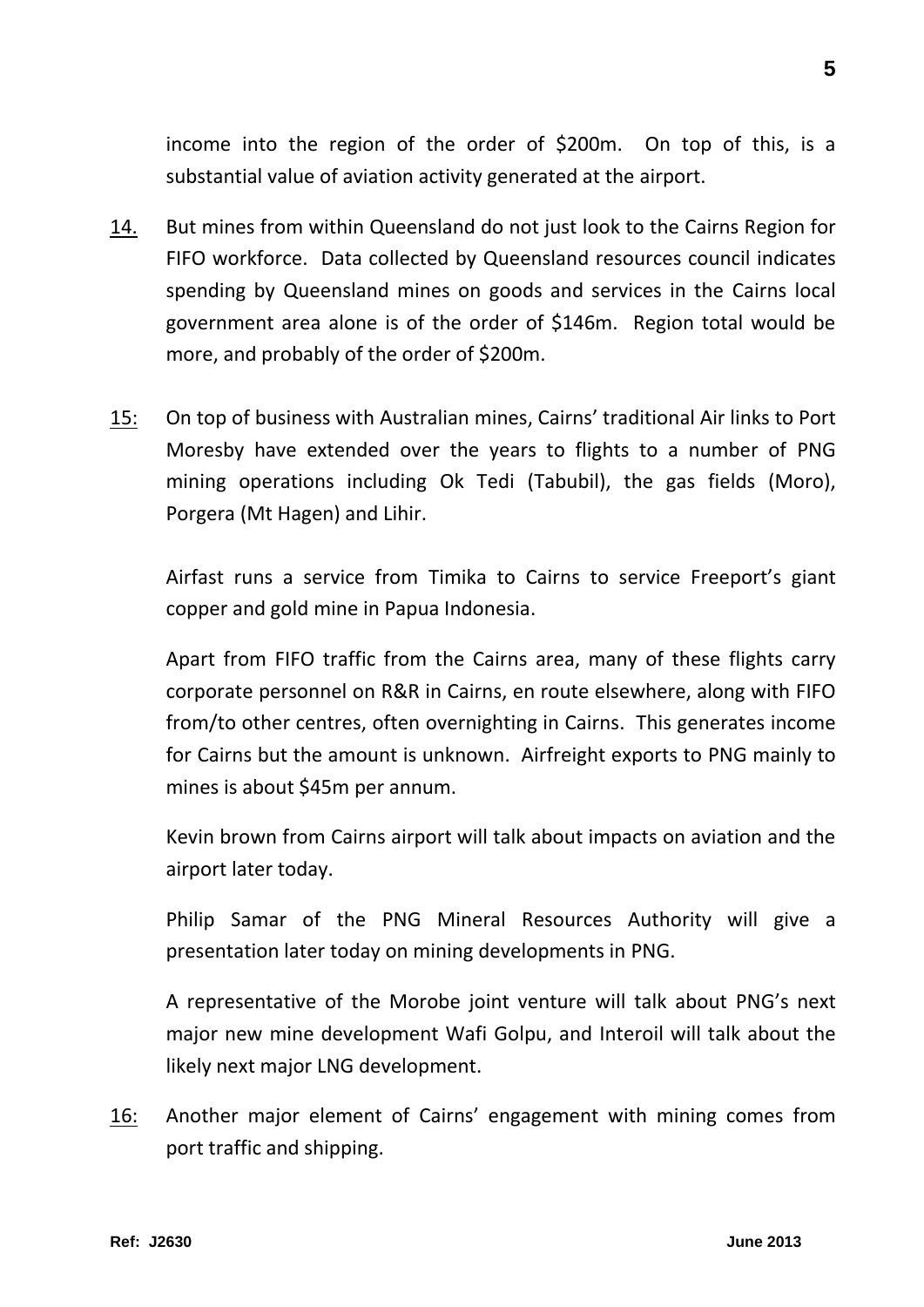income into the region of the order of \$200m. On top of this, is a substantial value of aviation activity generated at the airport.

- 14. But mines from within Queensland do not just look to the Cairns Region for FIFO workforce. Data collected by Queensland resources council indicates spending by Queensland mines on goods and services in the Cairns local government area alone is of the order of \$146m. Region total would be more, and probably of the order of \$200m.
- 15: On top of business with Australian mines, Cairns' traditional Air links to Port Moresby have extended over the years to flights to a number of PNG mining operations including Ok Tedi (Tabubil), the gas fields (Moro), Porgera (Mt Hagen) and Lihir.

Airfast runs a service from Timika to Cairns to service Freeport's giant copper and gold mine in Papua Indonesia.

Apart from FIFO traffic from the Cairns area, many of these flights carry corporate personnel on R&R in Cairns, en route elsewhere, along with FIFO from/to other centres, often overnighting in Cairns. This generates income for Cairns but the amount is unknown. Airfreight exports to PNG mainly to mines is about \$45m per annum.

Kevin brown from Cairns airport will talk about impacts on aviation and the airport later today.

Philip Samar of the PNG Mineral Resources Authority will give a presentation later today on mining developments in PNG.

A representative of the Morobe joint venture will talk about PNG's next major new mine development Wafi Golpu, and Interoil will talk about the likely next major LNG development.

16: Another major element of Cairns' engagement with mining comes from port traffic and shipping.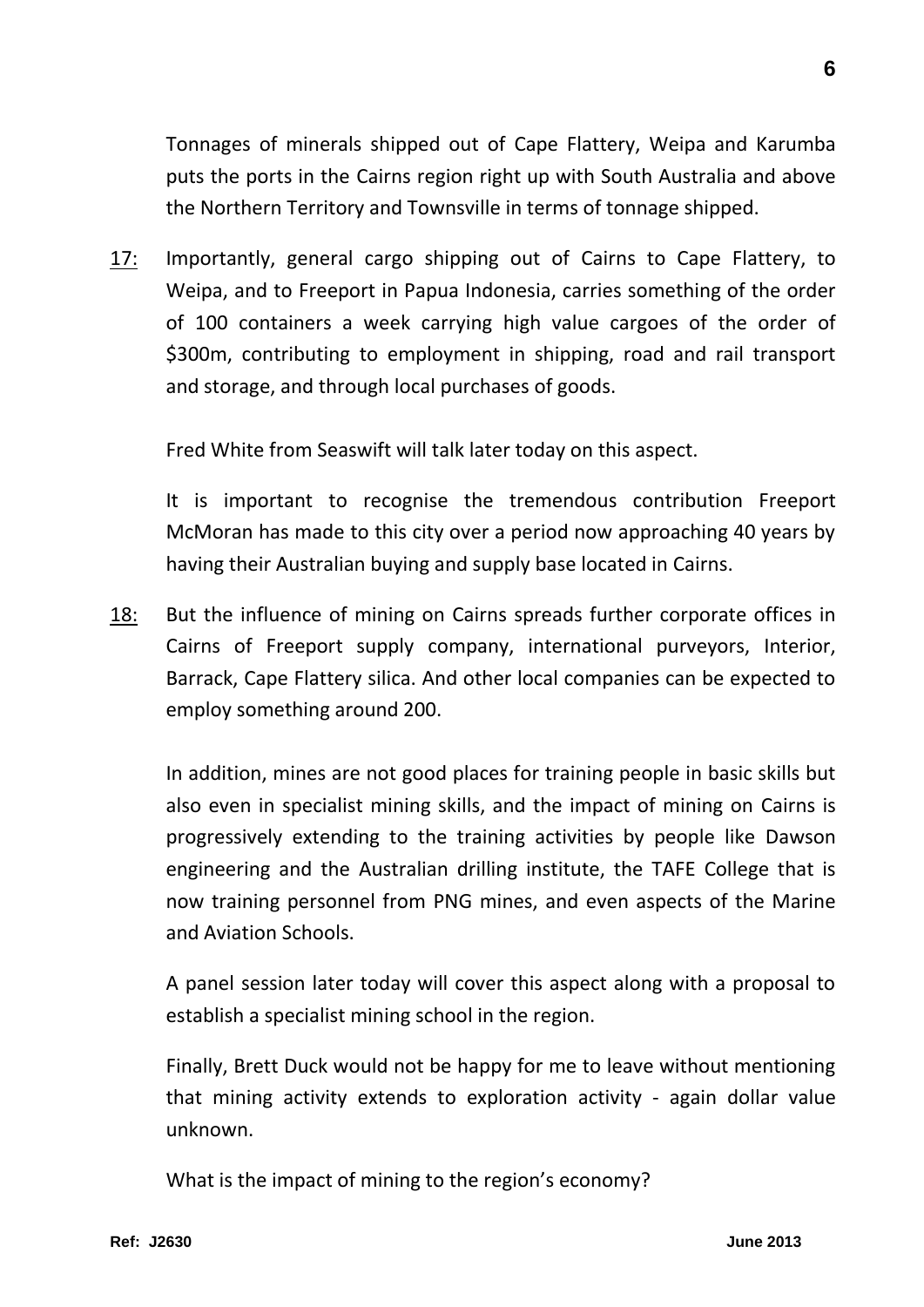Tonnages of minerals shipped out of Cape Flattery, Weipa and Karumba puts the ports in the Cairns region right up with South Australia and above the Northern Territory and Townsville in terms of tonnage shipped.

17: Importantly, general cargo shipping out of Cairns to Cape Flattery, to Weipa, and to Freeport in Papua Indonesia, carries something of the order of 100 containers a week carrying high value cargoes of the order of \$300m, contributing to employment in shipping, road and rail transport and storage, and through local purchases of goods.

Fred White from Seaswift will talk later today on this aspect.

It is important to recognise the tremendous contribution Freeport McMoran has made to this city over a period now approaching 40 years by having their Australian buying and supply base located in Cairns.

18: But the influence of mining on Cairns spreads further corporate offices in Cairns of Freeport supply company, international purveyors, Interior, Barrack, Cape Flattery silica. And other local companies can be expected to employ something around 200.

In addition, mines are not good places for training people in basic skills but also even in specialist mining skills, and the impact of mining on Cairns is progressively extending to the training activities by people like Dawson engineering and the Australian drilling institute, the TAFE College that is now training personnel from PNG mines, and even aspects of the Marine and Aviation Schools.

A panel session later today will cover this aspect along with a proposal to establish a specialist mining school in the region.

Finally, Brett Duck would not be happy for me to leave without mentioning that mining activity extends to exploration activity - again dollar value unknown.

What is the impact of mining to the region's economy?